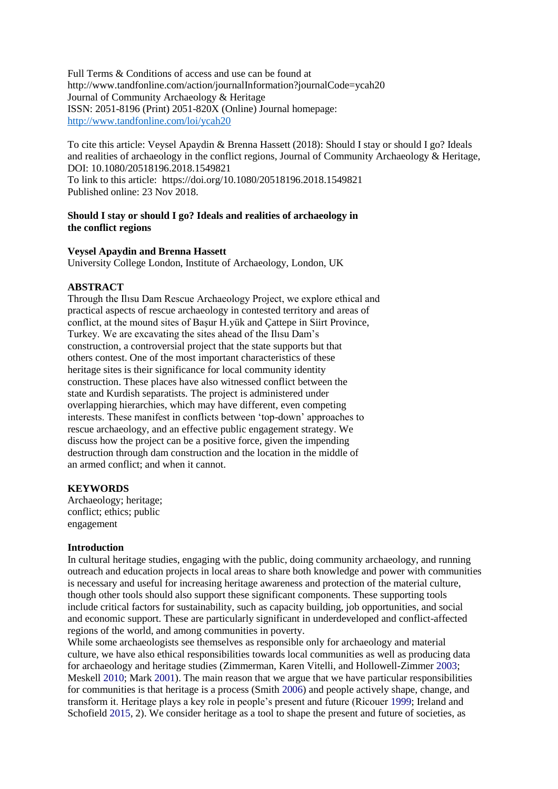Full Terms & Conditions of access and use can be found at http://www.tandfonline.com/action/journalInformation?journalCode=ycah20 Journal of Community Archaeology & Heritage ISSN: 2051-8196 (Print) 2051-820X (Online) Journal homepage: <http://www.tandfonline.com/loi/ycah20>

To cite this article: Veysel Apaydin & Brenna Hassett (2018): Should I stay or should I go? Ideals and realities of archaeology in the conflict regions, Journal of Community Archaeology & Heritage, DOI: 10.1080/20518196.2018.1549821 To link to this article: https://doi.org/10.1080/20518196.2018.1549821 Published online: 23 Nov 2018.

# **Should I stay or should I go? Ideals and realities of archaeology in the conflict regions**

#### **Veysel Apaydin and Brenna Hassett**

University College London, Institute of Archaeology, London, UK

# **ABSTRACT**

Through the Ilısu Dam Rescue Archaeology Project, we explore ethical and practical aspects of rescue archaeology in contested territory and areas of conflict, at the mound sites of Başur H.yük and Çattepe in Siirt Province, Turkey. We are excavating the sites ahead of the Ilısu Dam's construction, a controversial project that the state supports but that others contest. One of the most important characteristics of these heritage sites is their significance for local community identity construction. These places have also witnessed conflict between the state and Kurdish separatists. The project is administered under overlapping hierarchies, which may have different, even competing interests. These manifest in conflicts between 'top-down' approaches to rescue archaeology, and an effective public engagement strategy. We discuss how the project can be a positive force, given the impending destruction through dam construction and the location in the middle of an armed conflict; and when it cannot.

# **KEYWORDS**

Archaeology; heritage; conflict; ethics; public engagement

# **Introduction**

In cultural heritage studies, engaging with the public, doing community archaeology, and running outreach and education projects in local areas to share both knowledge and power with communities is necessary and useful for increasing heritage awareness and protection of the material culture, though other tools should also support these significant components. These supporting tools include critical factors for sustainability, such as capacity building, job opportunities, and social and economic support. These are particularly significant in underdeveloped and conflict-affected regions of the world, and among communities in poverty.

While some archaeologists see themselves as responsible only for archaeology and material culture, we have also ethical responsibilities towards local communities as well as producing data for archaeology and heritage studies (Zimmerman, Karen Vitelli, and Hollowell-Zimmer 2003; Meskell 2010; Mark 2001). The main reason that we argue that we have particular responsibilities for communities is that heritage is a process (Smith 2006) and people actively shape, change, and transform it. Heritage plays a key role in people's present and future (Ricouer 1999; Ireland and Schofield 2015, 2). We consider heritage as a tool to shape the present and future of societies, as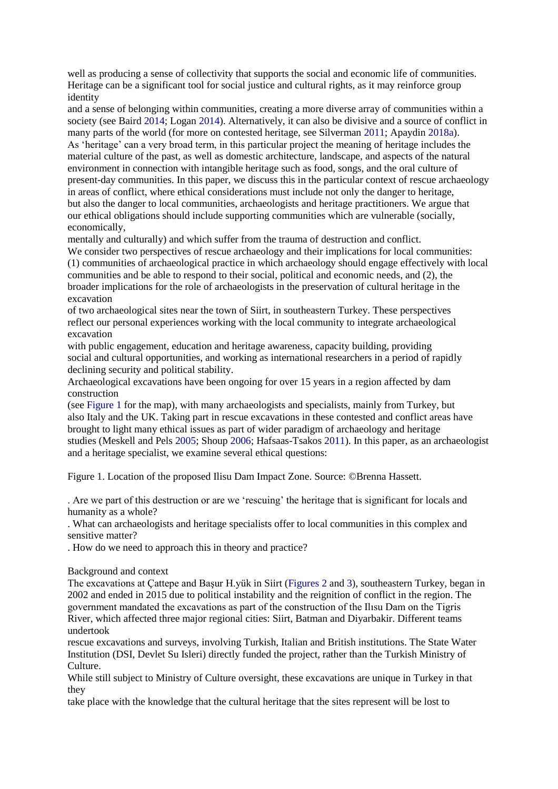well as producing a sense of collectivity that supports the social and economic life of communities. Heritage can be a significant tool for social justice and cultural rights, as it may reinforce group identity

and a sense of belonging within communities, creating a more diverse array of communities within a society (see Baird 2014; Logan 2014). Alternatively, it can also be divisive and a source of conflict in many parts of the world (for more on contested heritage, see Silverman 2011; Apaydin 2018a). As 'heritage' can a very broad term, in this particular project the meaning of heritage includes the material culture of the past, as well as domestic architecture, landscape, and aspects of the natural environment in connection with intangible heritage such as food, songs, and the oral culture of present-day communities. In this paper, we discuss this in the particular context of rescue archaeology in areas of conflict, where ethical considerations must include not only the danger to heritage, but also the danger to local communities, archaeologists and heritage practitioners. We argue that our ethical obligations should include supporting communities which are vulnerable (socially, economically,

mentally and culturally) and which suffer from the trauma of destruction and conflict.

We consider two perspectives of rescue archaeology and their implications for local communities: (1) communities of archaeological practice in which archaeology should engage effectively with local communities and be able to respond to their social, political and economic needs, and (2), the broader implications for the role of archaeologists in the preservation of cultural heritage in the excavation

of two archaeological sites near the town of Siirt, in southeastern Turkey. These perspectives reflect our personal experiences working with the local community to integrate archaeological excavation

with public engagement, education and heritage awareness, capacity building, providing social and cultural opportunities, and working as international researchers in a period of rapidly declining security and political stability.

Archaeological excavations have been ongoing for over 15 years in a region affected by dam construction

(see Figure 1 for the map), with many archaeologists and specialists, mainly from Turkey, but also Italy and the UK. Taking part in rescue excavations in these contested and conflict areas have brought to light many ethical issues as part of wider paradigm of archaeology and heritage studies (Meskell and Pels 2005; Shoup 2006; Hafsaas-Tsakos 2011). In this paper, as an archaeologist and a heritage specialist, we examine several ethical questions:

Figure 1. Location of the proposed Ilisu Dam Impact Zone. Source: ©Brenna Hassett.

. Are we part of this destruction or are we 'rescuing' the heritage that is significant for locals and humanity as a whole?

. What can archaeologists and heritage specialists offer to local communities in this complex and sensitive matter?

. How do we need to approach this in theory and practice?

Background and context

The excavations at Çattepe and Başur H.yük in Siirt (Figures 2 and 3), southeastern Turkey, began in 2002 and ended in 2015 due to political instability and the reignition of conflict in the region. The government mandated the excavations as part of the construction of the Ilısu Dam on the Tigris River, which affected three major regional cities: Siirt, Batman and Diyarbakir. Different teams undertook

rescue excavations and surveys, involving Turkish, Italian and British institutions. The State Water Institution (DSI, Devlet Su Isleri) directly funded the project, rather than the Turkish Ministry of Culture.

While still subject to Ministry of Culture oversight, these excavations are unique in Turkey in that they

take place with the knowledge that the cultural heritage that the sites represent will be lost to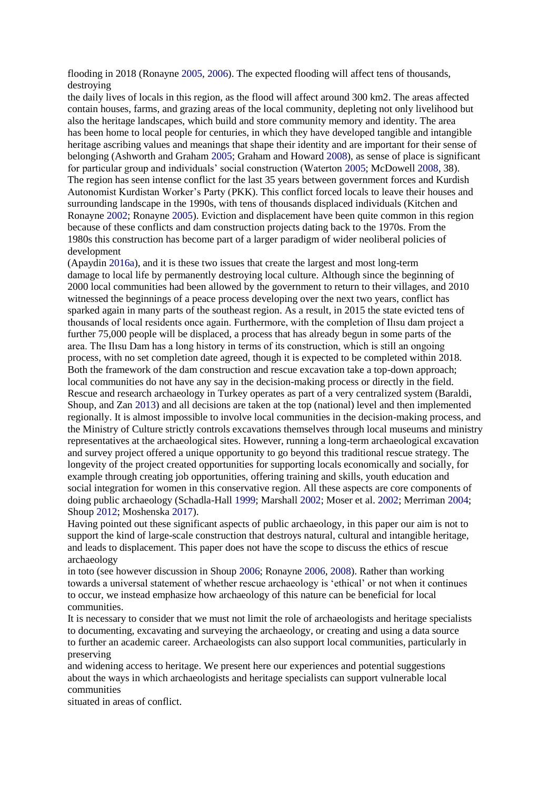flooding in 2018 (Ronayne 2005, 2006). The expected flooding will affect tens of thousands, destroying

the daily lives of locals in this region, as the flood will affect around 300 km2. The areas affected contain houses, farms, and grazing areas of the local community, depleting not only livelihood but also the heritage landscapes, which build and store community memory and identity. The area has been home to local people for centuries, in which they have developed tangible and intangible heritage ascribing values and meanings that shape their identity and are important for their sense of belonging (Ashworth and Graham 2005; Graham and Howard 2008), as sense of place is significant for particular group and individuals' social construction (Waterton 2005; McDowell 2008, 38). The region has seen intense conflict for the last 35 years between government forces and Kurdish Autonomist Kurdistan Worker's Party (PKK). This conflict forced locals to leave their houses and surrounding landscape in the 1990s, with tens of thousands displaced individuals (Kitchen and Ronayne 2002; Ronayne 2005). Eviction and displacement have been quite common in this region because of these conflicts and dam construction projects dating back to the 1970s. From the 1980s this construction has become part of a larger paradigm of wider neoliberal policies of development

(Apaydin 2016a), and it is these two issues that create the largest and most long-term damage to local life by permanently destroying local culture. Although since the beginning of 2000 local communities had been allowed by the government to return to their villages, and 2010 witnessed the beginnings of a peace process developing over the next two years, conflict has sparked again in many parts of the southeast region. As a result, in 2015 the state evicted tens of thousands of local residents once again. Furthermore, with the completion of Ilısu dam project a further 75,000 people will be displaced, a process that has already begun in some parts of the area. The Ilısu Dam has a long history in terms of its construction, which is still an ongoing process, with no set completion date agreed, though it is expected to be completed within 2018. Both the framework of the dam construction and rescue excavation take a top-down approach; local communities do not have any say in the decision-making process or directly in the field. Rescue and research archaeology in Turkey operates as part of a very centralized system (Baraldi, Shoup, and Zan 2013) and all decisions are taken at the top (national) level and then implemented regionally. It is almost impossible to involve local communities in the decision-making process, and the Ministry of Culture strictly controls excavations themselves through local museums and ministry representatives at the archaeological sites. However, running a long-term archaeological excavation and survey project offered a unique opportunity to go beyond this traditional rescue strategy. The longevity of the project created opportunities for supporting locals economically and socially, for example through creating job opportunities, offering training and skills, youth education and social integration for women in this conservative region. All these aspects are core components of doing public archaeology (Schadla-Hall 1999; Marshall 2002; Moser et al. 2002; Merriman 2004; Shoup 2012; Moshenska 2017).

Having pointed out these significant aspects of public archaeology, in this paper our aim is not to support the kind of large-scale construction that destroys natural, cultural and intangible heritage, and leads to displacement. This paper does not have the scope to discuss the ethics of rescue archaeology

in toto (see however discussion in Shoup 2006; Ronayne 2006, 2008). Rather than working towards a universal statement of whether rescue archaeology is 'ethical' or not when it continues to occur, we instead emphasize how archaeology of this nature can be beneficial for local communities.

It is necessary to consider that we must not limit the role of archaeologists and heritage specialists to documenting, excavating and surveying the archaeology, or creating and using a data source to further an academic career. Archaeologists can also support local communities, particularly in preserving

and widening access to heritage. We present here our experiences and potential suggestions about the ways in which archaeologists and heritage specialists can support vulnerable local communities

situated in areas of conflict.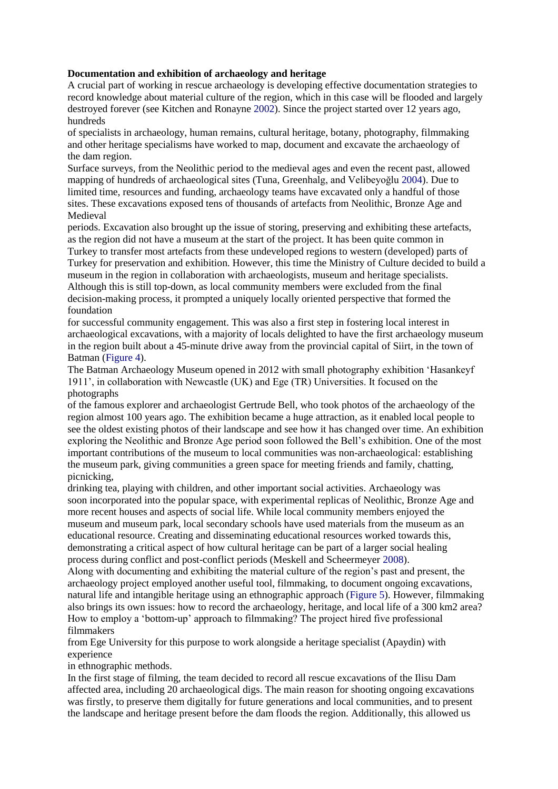# **Documentation and exhibition of archaeology and heritage**

A crucial part of working in rescue archaeology is developing effective documentation strategies to record knowledge about material culture of the region, which in this case will be flooded and largely destroyed forever (see Kitchen and Ronayne 2002). Since the project started over 12 years ago, hundreds

of specialists in archaeology, human remains, cultural heritage, botany, photography, filmmaking and other heritage specialisms have worked to map, document and excavate the archaeology of the dam region.

Surface surveys, from the Neolithic period to the medieval ages and even the recent past, allowed mapping of hundreds of archaeological sites (Tuna, Greenhalg, and Velibeyoğlu 2004). Due to limited time, resources and funding, archaeology teams have excavated only a handful of those sites. These excavations exposed tens of thousands of artefacts from Neolithic, Bronze Age and Medieval

periods. Excavation also brought up the issue of storing, preserving and exhibiting these artefacts, as the region did not have a museum at the start of the project. It has been quite common in Turkey to transfer most artefacts from these undeveloped regions to western (developed) parts of Turkey for preservation and exhibition. However, this time the Ministry of Culture decided to build a museum in the region in collaboration with archaeologists, museum and heritage specialists. Although this is still top-down, as local community members were excluded from the final decision-making process, it prompted a uniquely locally oriented perspective that formed the foundation

for successful community engagement. This was also a first step in fostering local interest in archaeological excavations, with a majority of locals delighted to have the first archaeology museum in the region built about a 45-minute drive away from the provincial capital of Siirt, in the town of Batman (Figure 4).

The Batman Archaeology Museum opened in 2012 with small photography exhibition 'Hasankeyf 1911', in collaboration with Newcastle (UK) and Ege (TR) Universities. It focused on the photographs

of the famous explorer and archaeologist Gertrude Bell, who took photos of the archaeology of the region almost 100 years ago. The exhibition became a huge attraction, as it enabled local people to see the oldest existing photos of their landscape and see how it has changed over time. An exhibition exploring the Neolithic and Bronze Age period soon followed the Bell's exhibition. One of the most important contributions of the museum to local communities was non-archaeological: establishing the museum park, giving communities a green space for meeting friends and family, chatting, picnicking,

drinking tea, playing with children, and other important social activities. Archaeology was soon incorporated into the popular space, with experimental replicas of Neolithic, Bronze Age and more recent houses and aspects of social life. While local community members enjoyed the museum and museum park, local secondary schools have used materials from the museum as an educational resource. Creating and disseminating educational resources worked towards this, demonstrating a critical aspect of how cultural heritage can be part of a larger social healing process during conflict and post-conflict periods (Meskell and Scheermeyer 2008).

Along with documenting and exhibiting the material culture of the region's past and present, the archaeology project employed another useful tool, filmmaking, to document ongoing excavations, natural life and intangible heritage using an ethnographic approach (Figure 5). However, filmmaking also brings its own issues: how to record the archaeology, heritage, and local life of a 300 km2 area? How to employ a 'bottom-up' approach to filmmaking? The project hired five professional filmmakers

from Ege University for this purpose to work alongside a heritage specialist (Apaydin) with experience

in ethnographic methods.

In the first stage of filming, the team decided to record all rescue excavations of the Ilisu Dam affected area, including 20 archaeological digs. The main reason for shooting ongoing excavations was firstly, to preserve them digitally for future generations and local communities, and to present the landscape and heritage present before the dam floods the region. Additionally, this allowed us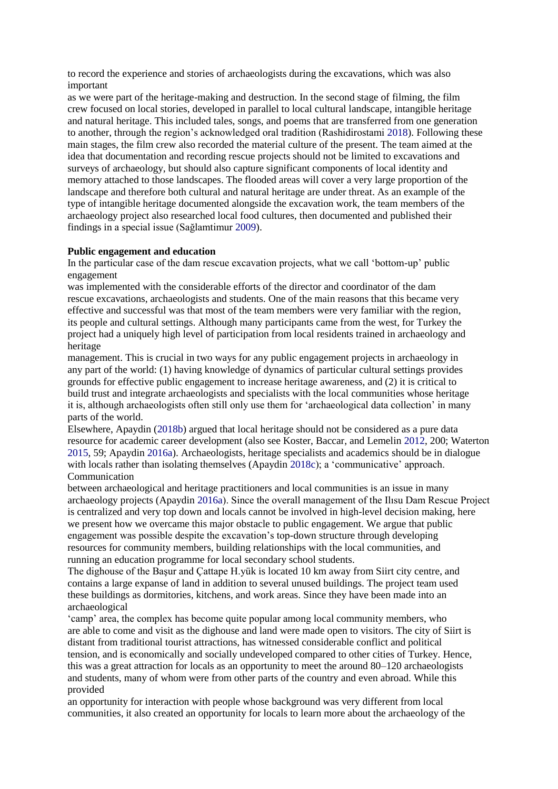to record the experience and stories of archaeologists during the excavations, which was also important

as we were part of the heritage-making and destruction. In the second stage of filming, the film crew focused on local stories, developed in parallel to local cultural landscape, intangible heritage and natural heritage. This included tales, songs, and poems that are transferred from one generation to another, through the region's acknowledged oral tradition (Rashidirostami 2018). Following these main stages, the film crew also recorded the material culture of the present. The team aimed at the idea that documentation and recording rescue projects should not be limited to excavations and surveys of archaeology, but should also capture significant components of local identity and memory attached to those landscapes. The flooded areas will cover a very large proportion of the landscape and therefore both cultural and natural heritage are under threat. As an example of the type of intangible heritage documented alongside the excavation work, the team members of the archaeology project also researched local food cultures, then documented and published their findings in a special issue (Sağlamtimur 2009).

#### **Public engagement and education**

In the particular case of the dam rescue excavation projects, what we call 'bottom-up' public engagement

was implemented with the considerable efforts of the director and coordinator of the dam rescue excavations, archaeologists and students. One of the main reasons that this became very effective and successful was that most of the team members were very familiar with the region, its people and cultural settings. Although many participants came from the west, for Turkey the project had a uniquely high level of participation from local residents trained in archaeology and heritage

management. This is crucial in two ways for any public engagement projects in archaeology in any part of the world: (1) having knowledge of dynamics of particular cultural settings provides grounds for effective public engagement to increase heritage awareness, and (2) it is critical to build trust and integrate archaeologists and specialists with the local communities whose heritage it is, although archaeologists often still only use them for 'archaeological data collection' in many parts of the world.

Elsewhere, Apaydin (2018b) argued that local heritage should not be considered as a pure data resource for academic career development (also see Koster, Baccar, and Lemelin 2012, 200; Waterton 2015, 59; Apaydin 2016a). Archaeologists, heritage specialists and academics should be in dialogue with locals rather than isolating themselves (Apaydin 2018c); a 'communicative' approach. Communication

between archaeological and heritage practitioners and local communities is an issue in many archaeology projects (Apaydin 2016a). Since the overall management of the Ilısu Dam Rescue Project is centralized and very top down and locals cannot be involved in high-level decision making, here we present how we overcame this major obstacle to public engagement. We argue that public engagement was possible despite the excavation's top-down structure through developing resources for community members, building relationships with the local communities, and running an education programme for local secondary school students.

The dighouse of the Başur and Çattape H.yük is located 10 km away from Siirt city centre, and contains a large expanse of land in addition to several unused buildings. The project team used these buildings as dormitories, kitchens, and work areas. Since they have been made into an archaeological

'camp' area, the complex has become quite popular among local community members, who are able to come and visit as the dighouse and land were made open to visitors. The city of Siirt is distant from traditional tourist attractions, has witnessed considerable conflict and political tension, and is economically and socially undeveloped compared to other cities of Turkey. Hence, this was a great attraction for locals as an opportunity to meet the around 80–120 archaeologists and students, many of whom were from other parts of the country and even abroad. While this provided

an opportunity for interaction with people whose background was very different from local communities, it also created an opportunity for locals to learn more about the archaeology of the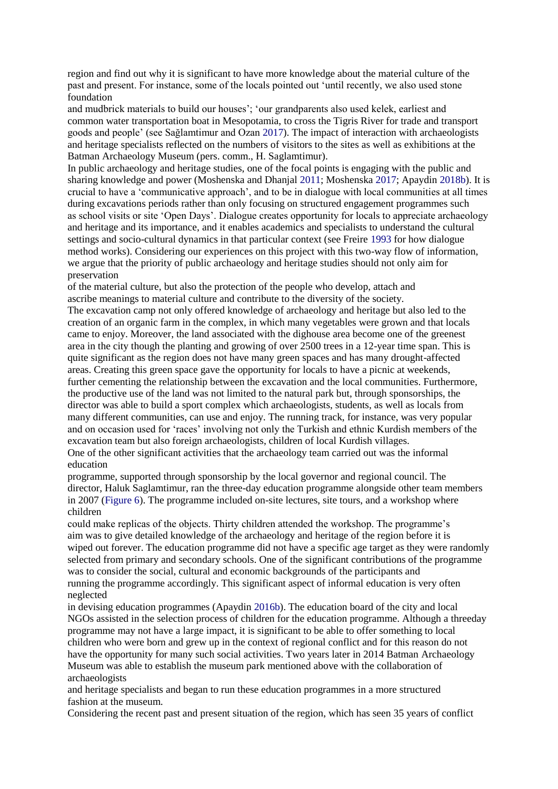region and find out why it is significant to have more knowledge about the material culture of the past and present. For instance, some of the locals pointed out 'until recently, we also used stone foundation

and mudbrick materials to build our houses'; 'our grandparents also used kelek, earliest and common water transportation boat in Mesopotamia, to cross the Tigris River for trade and transport goods and people' (see Sağlamtimur and Ozan 2017). The impact of interaction with archaeologists and heritage specialists reflected on the numbers of visitors to the sites as well as exhibitions at the Batman Archaeology Museum (pers. comm., H. Saglamtimur).

In public archaeology and heritage studies, one of the focal points is engaging with the public and sharing knowledge and power (Moshenska and Dhanjal 2011; Moshenska 2017; Apaydin 2018b). It is crucial to have a 'communicative approach', and to be in dialogue with local communities at all times during excavations periods rather than only focusing on structured engagement programmes such as school visits or site 'Open Days'. Dialogue creates opportunity for locals to appreciate archaeology and heritage and its importance, and it enables academics and specialists to understand the cultural settings and socio-cultural dynamics in that particular context (see Freire 1993 for how dialogue method works). Considering our experiences on this project with this two-way flow of information, we argue that the priority of public archaeology and heritage studies should not only aim for preservation

of the material culture, but also the protection of the people who develop, attach and ascribe meanings to material culture and contribute to the diversity of the society.

The excavation camp not only offered knowledge of archaeology and heritage but also led to the creation of an organic farm in the complex, in which many vegetables were grown and that locals came to enjoy. Moreover, the land associated with the dighouse area become one of the greenest area in the city though the planting and growing of over 2500 trees in a 12-year time span. This is quite significant as the region does not have many green spaces and has many drought-affected areas. Creating this green space gave the opportunity for locals to have a picnic at weekends, further cementing the relationship between the excavation and the local communities. Furthermore, the productive use of the land was not limited to the natural park but, through sponsorships, the director was able to build a sport complex which archaeologists, students, as well as locals from many different communities, can use and enjoy. The running track, for instance, was very popular and on occasion used for 'races' involving not only the Turkish and ethnic Kurdish members of the excavation team but also foreign archaeologists, children of local Kurdish villages. One of the other significant activities that the archaeology team carried out was the informal education

programme, supported through sponsorship by the local governor and regional council. The director, Haluk Saglamtimur, ran the three-day education programme alongside other team members in 2007 (Figure 6). The programme included on-site lectures, site tours, and a workshop where children

could make replicas of the objects. Thirty children attended the workshop. The programme's aim was to give detailed knowledge of the archaeology and heritage of the region before it is wiped out forever. The education programme did not have a specific age target as they were randomly selected from primary and secondary schools. One of the significant contributions of the programme was to consider the social, cultural and economic backgrounds of the participants and running the programme accordingly. This significant aspect of informal education is very often neglected

in devising education programmes (Apaydin 2016b). The education board of the city and local NGOs assisted in the selection process of children for the education programme. Although a threeday programme may not have a large impact, it is significant to be able to offer something to local children who were born and grew up in the context of regional conflict and for this reason do not have the opportunity for many such social activities. Two years later in 2014 Batman Archaeology Museum was able to establish the museum park mentioned above with the collaboration of archaeologists

and heritage specialists and began to run these education programmes in a more structured fashion at the museum.

Considering the recent past and present situation of the region, which has seen 35 years of conflict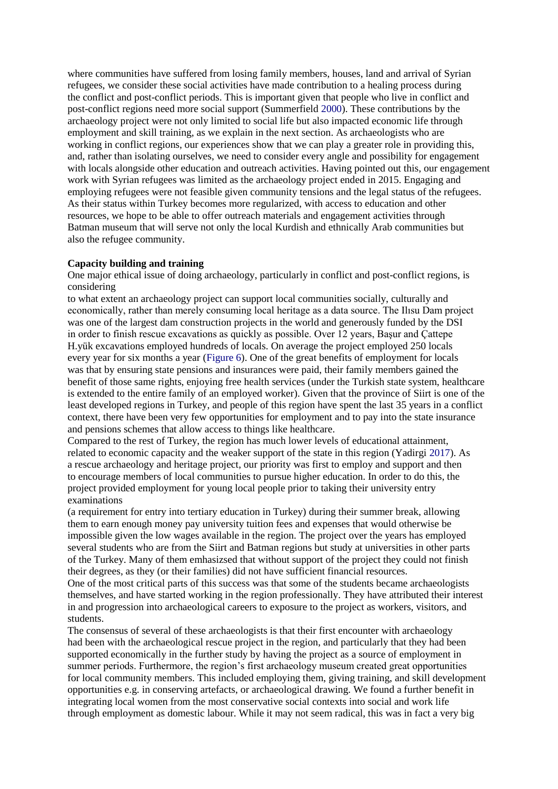where communities have suffered from losing family members, houses, land and arrival of Syrian refugees, we consider these social activities have made contribution to a healing process during the conflict and post-conflict periods. This is important given that people who live in conflict and post-conflict regions need more social support (Summerfield 2000). These contributions by the archaeology project were not only limited to social life but also impacted economic life through employment and skill training, as we explain in the next section. As archaeologists who are working in conflict regions, our experiences show that we can play a greater role in providing this, and, rather than isolating ourselves, we need to consider every angle and possibility for engagement with locals alongside other education and outreach activities. Having pointed out this, our engagement work with Syrian refugees was limited as the archaeology project ended in 2015. Engaging and employing refugees were not feasible given community tensions and the legal status of the refugees. As their status within Turkey becomes more regularized, with access to education and other resources, we hope to be able to offer outreach materials and engagement activities through Batman museum that will serve not only the local Kurdish and ethnically Arab communities but also the refugee community.

# **Capacity building and training**

One major ethical issue of doing archaeology, particularly in conflict and post-conflict regions, is considering

to what extent an archaeology project can support local communities socially, culturally and economically, rather than merely consuming local heritage as a data source. The Ilısu Dam project was one of the largest dam construction projects in the world and generously funded by the DSI in order to finish rescue excavations as quickly as possible. Over 12 years, Başur and Çattepe H.yük excavations employed hundreds of locals. On average the project employed 250 locals every year for six months a year (Figure 6). One of the great benefits of employment for locals was that by ensuring state pensions and insurances were paid, their family members gained the benefit of those same rights, enjoying free health services (under the Turkish state system, healthcare is extended to the entire family of an employed worker). Given that the province of Siirt is one of the least developed regions in Turkey, and people of this region have spent the last 35 years in a conflict context, there have been very few opportunities for employment and to pay into the state insurance and pensions schemes that allow access to things like healthcare.

Compared to the rest of Turkey, the region has much lower levels of educational attainment, related to economic capacity and the weaker support of the state in this region (Yadirgi 2017). As a rescue archaeology and heritage project, our priority was first to employ and support and then to encourage members of local communities to pursue higher education. In order to do this, the project provided employment for young local people prior to taking their university entry examinations

(a requirement for entry into tertiary education in Turkey) during their summer break, allowing them to earn enough money pay university tuition fees and expenses that would otherwise be impossible given the low wages available in the region. The project over the years has employed several students who are from the Siirt and Batman regions but study at universities in other parts of the Turkey. Many of them emhasizsed that without support of the project they could not finish their degrees, as they (or their families) did not have sufficient financial resources.

One of the most critical parts of this success was that some of the students became archaeologists themselves, and have started working in the region professionally. They have attributed their interest in and progression into archaeological careers to exposure to the project as workers, visitors, and students.

The consensus of several of these archaeologists is that their first encounter with archaeology had been with the archaeological rescue project in the region, and particularly that they had been supported economically in the further study by having the project as a source of employment in summer periods. Furthermore, the region's first archaeology museum created great opportunities for local community members. This included employing them, giving training, and skill development opportunities e.g. in conserving artefacts, or archaeological drawing. We found a further benefit in integrating local women from the most conservative social contexts into social and work life through employment as domestic labour. While it may not seem radical, this was in fact a very big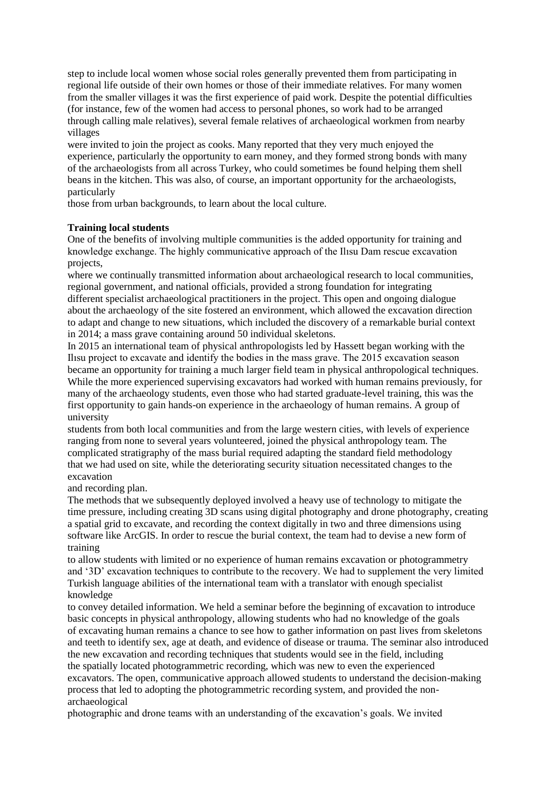step to include local women whose social roles generally prevented them from participating in regional life outside of their own homes or those of their immediate relatives. For many women from the smaller villages it was the first experience of paid work. Despite the potential difficulties (for instance, few of the women had access to personal phones, so work had to be arranged through calling male relatives), several female relatives of archaeological workmen from nearby villages

were invited to join the project as cooks. Many reported that they very much enjoyed the experience, particularly the opportunity to earn money, and they formed strong bonds with many of the archaeologists from all across Turkey, who could sometimes be found helping them shell beans in the kitchen. This was also, of course, an important opportunity for the archaeologists, particularly

those from urban backgrounds, to learn about the local culture.

# **Training local students**

One of the benefits of involving multiple communities is the added opportunity for training and knowledge exchange. The highly communicative approach of the Ilısu Dam rescue excavation projects,

where we continually transmitted information about archaeological research to local communities, regional government, and national officials, provided a strong foundation for integrating different specialist archaeological practitioners in the project. This open and ongoing dialogue about the archaeology of the site fostered an environment, which allowed the excavation direction to adapt and change to new situations, which included the discovery of a remarkable burial context in 2014; a mass grave containing around 50 individual skeletons.

In 2015 an international team of physical anthropologists led by Hassett began working with the Ilısu project to excavate and identify the bodies in the mass grave. The 2015 excavation season became an opportunity for training a much larger field team in physical anthropological techniques. While the more experienced supervising excavators had worked with human remains previously, for many of the archaeology students, even those who had started graduate-level training, this was the first opportunity to gain hands-on experience in the archaeology of human remains. A group of university

students from both local communities and from the large western cities, with levels of experience ranging from none to several years volunteered, joined the physical anthropology team. The complicated stratigraphy of the mass burial required adapting the standard field methodology that we had used on site, while the deteriorating security situation necessitated changes to the excavation

and recording plan.

The methods that we subsequently deployed involved a heavy use of technology to mitigate the time pressure, including creating 3D scans using digital photography and drone photography, creating a spatial grid to excavate, and recording the context digitally in two and three dimensions using software like ArcGIS. In order to rescue the burial context, the team had to devise a new form of training

to allow students with limited or no experience of human remains excavation or photogrammetry and '3D' excavation techniques to contribute to the recovery. We had to supplement the very limited Turkish language abilities of the international team with a translator with enough specialist knowledge

to convey detailed information. We held a seminar before the beginning of excavation to introduce basic concepts in physical anthropology, allowing students who had no knowledge of the goals of excavating human remains a chance to see how to gather information on past lives from skeletons and teeth to identify sex, age at death, and evidence of disease or trauma. The seminar also introduced the new excavation and recording techniques that students would see in the field, including the spatially located photogrammetric recording, which was new to even the experienced excavators. The open, communicative approach allowed students to understand the decision-making process that led to adopting the photogrammetric recording system, and provided the nonarchaeological

photographic and drone teams with an understanding of the excavation's goals. We invited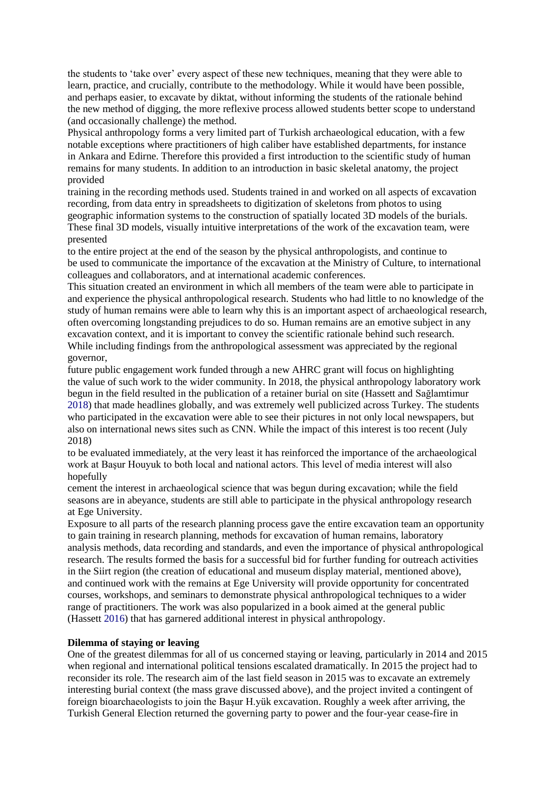the students to 'take over' every aspect of these new techniques, meaning that they were able to learn, practice, and crucially, contribute to the methodology. While it would have been possible, and perhaps easier, to excavate by diktat, without informing the students of the rationale behind the new method of digging, the more reflexive process allowed students better scope to understand (and occasionally challenge) the method.

Physical anthropology forms a very limited part of Turkish archaeological education, with a few notable exceptions where practitioners of high caliber have established departments, for instance in Ankara and Edirne. Therefore this provided a first introduction to the scientific study of human remains for many students. In addition to an introduction in basic skeletal anatomy, the project provided

training in the recording methods used. Students trained in and worked on all aspects of excavation recording, from data entry in spreadsheets to digitization of skeletons from photos to using geographic information systems to the construction of spatially located 3D models of the burials. These final 3D models, visually intuitive interpretations of the work of the excavation team, were presented

to the entire project at the end of the season by the physical anthropologists, and continue to be used to communicate the importance of the excavation at the Ministry of Culture, to international colleagues and collaborators, and at international academic conferences.

This situation created an environment in which all members of the team were able to participate in and experience the physical anthropological research. Students who had little to no knowledge of the study of human remains were able to learn why this is an important aspect of archaeological research, often overcoming longstanding prejudices to do so. Human remains are an emotive subject in any excavation context, and it is important to convey the scientific rationale behind such research. While including findings from the anthropological assessment was appreciated by the regional governor,

future public engagement work funded through a new AHRC grant will focus on highlighting the value of such work to the wider community. In 2018, the physical anthropology laboratory work begun in the field resulted in the publication of a retainer burial on site (Hassett and Sağlamtimur 2018) that made headlines globally, and was extremely well publicized across Turkey. The students who participated in the excavation were able to see their pictures in not only local newspapers, but also on international news sites such as CNN. While the impact of this interest is too recent (July 2018)

to be evaluated immediately, at the very least it has reinforced the importance of the archaeological work at Başur Houyuk to both local and national actors. This level of media interest will also hopefully

cement the interest in archaeological science that was begun during excavation; while the field seasons are in abeyance, students are still able to participate in the physical anthropology research at Ege University.

Exposure to all parts of the research planning process gave the entire excavation team an opportunity to gain training in research planning, methods for excavation of human remains, laboratory analysis methods, data recording and standards, and even the importance of physical anthropological research. The results formed the basis for a successful bid for further funding for outreach activities in the Siirt region (the creation of educational and museum display material, mentioned above), and continued work with the remains at Ege University will provide opportunity for concentrated courses, workshops, and seminars to demonstrate physical anthropological techniques to a wider range of practitioners. The work was also popularized in a book aimed at the general public (Hassett 2016) that has garnered additional interest in physical anthropology.

#### **Dilemma of staying or leaving**

One of the greatest dilemmas for all of us concerned staying or leaving, particularly in 2014 and 2015 when regional and international political tensions escalated dramatically. In 2015 the project had to reconsider its role. The research aim of the last field season in 2015 was to excavate an extremely interesting burial context (the mass grave discussed above), and the project invited a contingent of foreign bioarchaeologists to join the Başur H.yük excavation. Roughly a week after arriving, the Turkish General Election returned the governing party to power and the four-year cease-fire in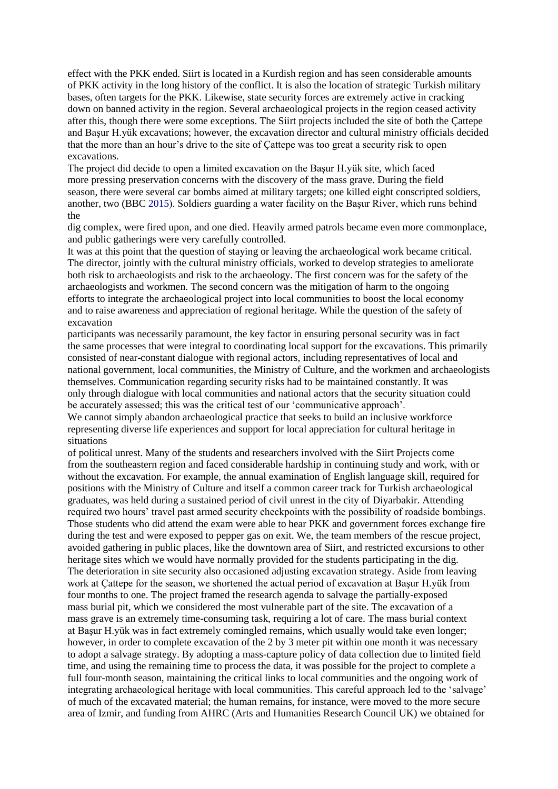effect with the PKK ended. Siirt is located in a Kurdish region and has seen considerable amounts of PKK activity in the long history of the conflict. It is also the location of strategic Turkish military bases, often targets for the PKK. Likewise, state security forces are extremely active in cracking down on banned activity in the region. Several archaeological projects in the region ceased activity after this, though there were some exceptions. The Siirt projects included the site of both the Çattepe and Başur H.yük excavations; however, the excavation director and cultural ministry officials decided that the more than an hour's drive to the site of Çattepe was too great a security risk to open excavations.

The project did decide to open a limited excavation on the Başur H.yük site, which faced more pressing preservation concerns with the discovery of the mass grave. During the field season, there were several car bombs aimed at military targets; one killed eight conscripted soldiers, another, two (BBC 2015). Soldiers guarding a water facility on the Başur River, which runs behind the

dig complex, were fired upon, and one died. Heavily armed patrols became even more commonplace, and public gatherings were very carefully controlled.

It was at this point that the question of staying or leaving the archaeological work became critical. The director, jointly with the cultural ministry officials, worked to develop strategies to ameliorate both risk to archaeologists and risk to the archaeology. The first concern was for the safety of the archaeologists and workmen. The second concern was the mitigation of harm to the ongoing efforts to integrate the archaeological project into local communities to boost the local economy and to raise awareness and appreciation of regional heritage. While the question of the safety of excavation

participants was necessarily paramount, the key factor in ensuring personal security was in fact the same processes that were integral to coordinating local support for the excavations. This primarily consisted of near-constant dialogue with regional actors, including representatives of local and national government, local communities, the Ministry of Culture, and the workmen and archaeologists themselves. Communication regarding security risks had to be maintained constantly. It was only through dialogue with local communities and national actors that the security situation could be accurately assessed; this was the critical test of our 'communicative approach'.

We cannot simply abandon archaeological practice that seeks to build an inclusive workforce representing diverse life experiences and support for local appreciation for cultural heritage in situations

of political unrest. Many of the students and researchers involved with the Siirt Projects come from the southeastern region and faced considerable hardship in continuing study and work, with or without the excavation. For example, the annual examination of English language skill, required for positions with the Ministry of Culture and itself a common career track for Turkish archaeological graduates, was held during a sustained period of civil unrest in the city of Diyarbakir. Attending required two hours' travel past armed security checkpoints with the possibility of roadside bombings. Those students who did attend the exam were able to hear PKK and government forces exchange fire during the test and were exposed to pepper gas on exit. We, the team members of the rescue project, avoided gathering in public places, like the downtown area of Siirt, and restricted excursions to other heritage sites which we would have normally provided for the students participating in the dig. The deterioration in site security also occasioned adjusting excavation strategy. Aside from leaving work at Çattepe for the season, we shortened the actual period of excavation at Başur H.yük from four months to one. The project framed the research agenda to salvage the partially-exposed mass burial pit, which we considered the most vulnerable part of the site. The excavation of a mass grave is an extremely time-consuming task, requiring a lot of care. The mass burial context at Başur H.yük was in fact extremely comingled remains, which usually would take even longer; however, in order to complete excavation of the 2 by 3 meter pit within one month it was necessary to adopt a salvage strategy. By adopting a mass-capture policy of data collection due to limited field time, and using the remaining time to process the data, it was possible for the project to complete a full four-month season, maintaining the critical links to local communities and the ongoing work of integrating archaeological heritage with local communities. This careful approach led to the 'salvage' of much of the excavated material; the human remains, for instance, were moved to the more secure area of Izmir, and funding from AHRC (Arts and Humanities Research Council UK) we obtained for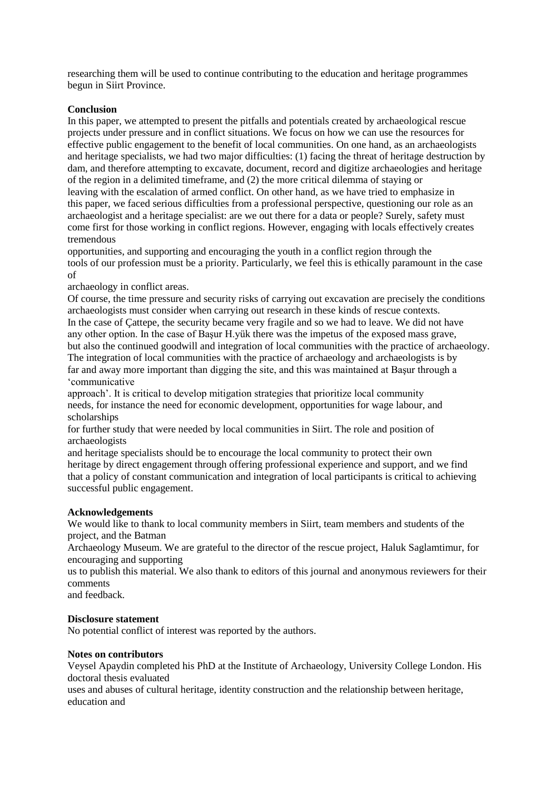researching them will be used to continue contributing to the education and heritage programmes begun in Siirt Province.

# **Conclusion**

In this paper, we attempted to present the pitfalls and potentials created by archaeological rescue projects under pressure and in conflict situations. We focus on how we can use the resources for effective public engagement to the benefit of local communities. On one hand, as an archaeologists and heritage specialists, we had two major difficulties: (1) facing the threat of heritage destruction by dam, and therefore attempting to excavate, document, record and digitize archaeologies and heritage of the region in a delimited timeframe, and (2) the more critical dilemma of staying or leaving with the escalation of armed conflict. On other hand, as we have tried to emphasize in this paper, we faced serious difficulties from a professional perspective, questioning our role as an archaeologist and a heritage specialist: are we out there for a data or people? Surely, safety must come first for those working in conflict regions. However, engaging with locals effectively creates tremendous

opportunities, and supporting and encouraging the youth in a conflict region through the tools of our profession must be a priority. Particularly, we feel this is ethically paramount in the case of

archaeology in conflict areas.

Of course, the time pressure and security risks of carrying out excavation are precisely the conditions archaeologists must consider when carrying out research in these kinds of rescue contexts. In the case of Çattepe, the security became very fragile and so we had to leave. We did not have any other option. In the case of Başur H.yük there was the impetus of the exposed mass grave, but also the continued goodwill and integration of local communities with the practice of archaeology. The integration of local communities with the practice of archaeology and archaeologists is by far and away more important than digging the site, and this was maintained at Başur through a 'communicative

approach'. It is critical to develop mitigation strategies that prioritize local community needs, for instance the need for economic development, opportunities for wage labour, and scholarships

for further study that were needed by local communities in Siirt. The role and position of archaeologists

and heritage specialists should be to encourage the local community to protect their own heritage by direct engagement through offering professional experience and support, and we find that a policy of constant communication and integration of local participants is critical to achieving successful public engagement.

# **Acknowledgements**

We would like to thank to local community members in Siirt, team members and students of the project, and the Batman

Archaeology Museum. We are grateful to the director of the rescue project, Haluk Saglamtimur, for encouraging and supporting

us to publish this material. We also thank to editors of this journal and anonymous reviewers for their comments

and feedback.

# **Disclosure statement**

No potential conflict of interest was reported by the authors.

# **Notes on contributors**

Veysel Apaydin completed his PhD at the Institute of Archaeology, University College London. His doctoral thesis evaluated

uses and abuses of cultural heritage, identity construction and the relationship between heritage, education and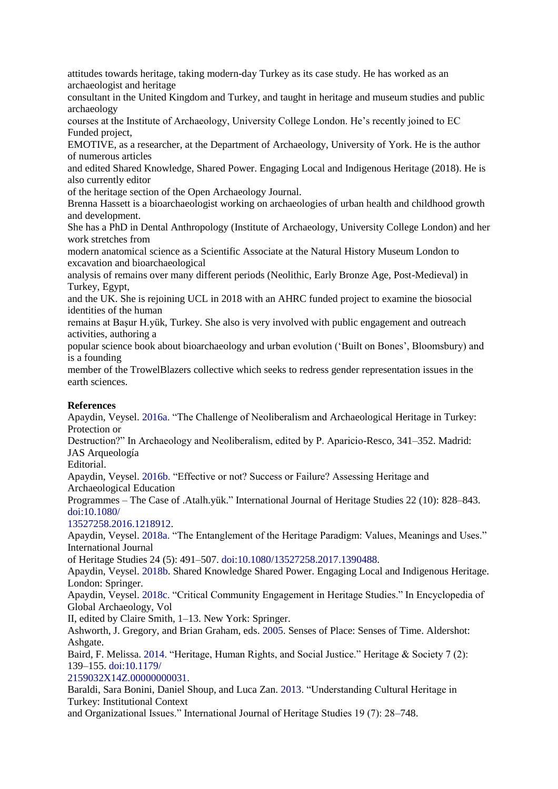attitudes towards heritage, taking modern-day Turkey as its case study. He has worked as an archaeologist and heritage

consultant in the United Kingdom and Turkey, and taught in heritage and museum studies and public archaeology

courses at the Institute of Archaeology, University College London. He's recently joined to EC Funded project,

EMOTIVE, as a researcher, at the Department of Archaeology, University of York. He is the author of numerous articles

and edited Shared Knowledge, Shared Power. Engaging Local and Indigenous Heritage (2018). He is also currently editor

of the heritage section of the Open Archaeology Journal.

Brenna Hassett is a bioarchaeologist working on archaeologies of urban health and childhood growth and development.

She has a PhD in Dental Anthropology (Institute of Archaeology, University College London) and her work stretches from

modern anatomical science as a Scientific Associate at the Natural History Museum London to excavation and bioarchaeological

analysis of remains over many different periods (Neolithic, Early Bronze Age, Post-Medieval) in Turkey, Egypt,

and the UK. She is rejoining UCL in 2018 with an AHRC funded project to examine the biosocial identities of the human

remains at Başur H.yük, Turkey. She also is very involved with public engagement and outreach activities, authoring a

popular science book about bioarchaeology and urban evolution ('Built on Bones', Bloomsbury) and is a founding

member of the TrowelBlazers collective which seeks to redress gender representation issues in the earth sciences.

# **References**

Apaydin, Veysel. 2016a. "The Challenge of Neoliberalism and Archaeological Heritage in Turkey: Protection or Destruction?" In Archaeology and Neoliberalism, edited by P. Aparicio-Resco, 341–352. Madrid: JAS Arqueología Editorial. Apaydin, Veysel. 2016b. "Effective or not? Success or Failure? Assessing Heritage and Archaeological Education Programmes – The Case of .Atalh.yük." International Journal of Heritage Studies 22 (10): 828–843. doi:10.1080/ 13527258.2016.1218912. Apaydin, Veysel. 2018a. "The Entanglement of the Heritage Paradigm: Values, Meanings and Uses." International Journal of Heritage Studies 24 (5): 491–507. doi:10.1080/13527258.2017.1390488. Apaydin, Veysel. 2018b. Shared Knowledge Shared Power. Engaging Local and Indigenous Heritage. London: Springer. Apaydin, Veysel. 2018c. "Critical Community Engagement in Heritage Studies." In Encyclopedia of Global Archaeology, Vol II, edited by Claire Smith, 1–13. New York: Springer. Ashworth, J. Gregory, and Brian Graham, eds. 2005. Senses of Place: Senses of Time. Aldershot: Ashgate. Baird, F. Melissa. 2014. "Heritage, Human Rights, and Social Justice." Heritage & Society 7 (2): 139–155. doi:10.1179/ 2159032X14Z.00000000031. Baraldi, Sara Bonini, Daniel Shoup, and Luca Zan. 2013. "Understanding Cultural Heritage in Turkey: Institutional Context and Organizational Issues." International Journal of Heritage Studies 19 (7): 28–748.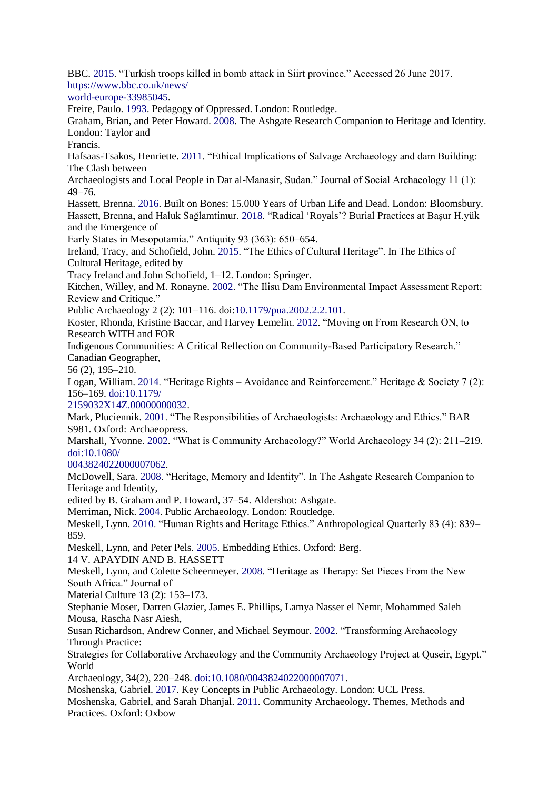BBC. 2015. "Turkish troops killed in bomb attack in Siirt province." Accessed 26 June 2017. https://www.bbc.co.uk/news/ world-europe-33985045. Freire, Paulo. 1993. Pedagogy of Oppressed. London: Routledge. Graham, Brian, and Peter Howard. 2008. The Ashgate Research Companion to Heritage and Identity. London: Taylor and Francis. Hafsaas-Tsakos, Henriette. 2011. "Ethical Implications of Salvage Archaeology and dam Building: The Clash between Archaeologists and Local People in Dar al-Manasir, Sudan." Journal of Social Archaeology 11 (1): 49–76. Hassett, Brenna. 2016. Built on Bones: 15.000 Years of Urban Life and Dead. London: Bloomsbury. Hassett, Brenna, and Haluk Sağlamtimur. 2018. "Radical 'Royals'? Burial Practices at Başur H.yük and the Emergence of Early States in Mesopotamia." Antiquity 93 (363): 650–654. Ireland, Tracy, and Schofield, John. 2015. "The Ethics of Cultural Heritage". In The Ethics of Cultural Heritage, edited by Tracy Ireland and John Schofield, 1–12. London: Springer. Kitchen, Willey, and M. Ronayne. 2002. "The Ilisu Dam Environmental Impact Assessment Report: Review and Critique." Public Archaeology 2 (2): 101–116. doi:10.1179/pua.2002.2.2.101. Koster, Rhonda, Kristine Baccar, and Harvey Lemelin. 2012. "Moving on From Research ON, to Research WITH and FOR Indigenous Communities: A Critical Reflection on Community-Based Participatory Research." Canadian Geographer, 56 (2), 195–210. Logan, William. 2014. "Heritage Rights – Avoidance and Reinforcement." Heritage & Society 7 (2): 156–169. doi:10.1179/ 2159032X14Z.00000000032. Mark, Pluciennik. 2001. "The Responsibilities of Archaeologists: Archaeology and Ethics." BAR S981. Oxford: Archaeopress. Marshall, Yvonne. 2002. "What is Community Archaeology?" World Archaeology 34 (2): 211–219. doi:10.1080/ 0043824022000007062. McDowell, Sara. 2008. "Heritage, Memory and Identity". In The Ashgate Research Companion to Heritage and Identity, edited by B. Graham and P. Howard, 37–54. Aldershot: Ashgate. Merriman, Nick. 2004. Public Archaeology. London: Routledge. Meskell, Lynn. 2010. "Human Rights and Heritage Ethics." Anthropological Quarterly 83 (4): 839– 859. Meskell, Lynn, and Peter Pels. 2005. Embedding Ethics. Oxford: Berg. 14 V. APAYDIN AND B. HASSETT Meskell, Lynn, and Colette Scheermeyer. 2008. "Heritage as Therapy: Set Pieces From the New South Africa." Journal of Material Culture 13 (2): 153–173. Stephanie Moser, Darren Glazier, James E. Phillips, Lamya Nasser el Nemr, Mohammed Saleh Mousa, Rascha Nasr Aiesh, Susan Richardson, Andrew Conner, and Michael Seymour. 2002. "Transforming Archaeology Through Practice: Strategies for Collaborative Archaeology and the Community Archaeology Project at Quseir, Egypt." World Archaeology, 34(2), 220–248. doi:10.1080/0043824022000007071. Moshenska, Gabriel. 2017. Key Concepts in Public Archaeology. London: UCL Press.

Moshenska, Gabriel, and Sarah Dhanjal. 2011. Community Archaeology. Themes, Methods and Practices. Oxford: Oxbow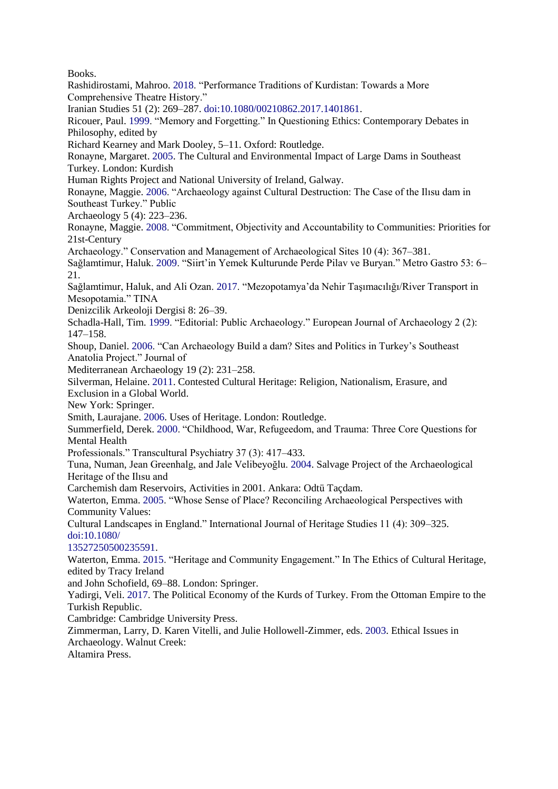Books.

Rashidirostami, Mahroo. 2018. "Performance Traditions of Kurdistan: Towards a More Comprehensive Theatre History." Iranian Studies 51 (2): 269–287. doi:10.1080/00210862.2017.1401861. Ricouer, Paul. 1999. "Memory and Forgetting." In Questioning Ethics: Contemporary Debates in Philosophy, edited by Richard Kearney and Mark Dooley, 5–11. Oxford: Routledge. Ronayne, Margaret. 2005. The Cultural and Environmental Impact of Large Dams in Southeast Turkey. London: Kurdish Human Rights Project and National University of Ireland, Galway. Ronayne, Maggie. 2006. "Archaeology against Cultural Destruction: The Case of the Ilısu dam in Southeast Turkey." Public Archaeology 5 (4): 223–236. Ronayne, Maggie. 2008. "Commitment, Objectivity and Accountability to Communities: Priorities for 21st-Century Archaeology." Conservation and Management of Archaeological Sites 10 (4): 367–381. Sağlamtimur, Haluk. 2009. "Siirt'in Yemek Kulturunde Perde Pilav ve Buryan." Metro Gastro 53: 6– 21. Sağlamtimur, Haluk, and Ali Ozan. 2017. "Mezopotamya'da Nehir Taşımacılığı/River Transport in Mesopotamia." TINA Denizcilik Arkeoloji Dergisi 8: 26–39. Schadla-Hall, Tim. 1999. "Editorial: Public Archaeology." European Journal of Archaeology 2 (2): 147–158. Shoup, Daniel. 2006. "Can Archaeology Build a dam? Sites and Politics in Turkey's Southeast Anatolia Project." Journal of Mediterranean Archaeology 19 (2): 231–258. Silverman, Helaine. 2011. Contested Cultural Heritage: Religion, Nationalism, Erasure, and Exclusion in a Global World. New York: Springer. Smith, Laurajane. 2006. Uses of Heritage. London: Routledge. Summerfield, Derek. 2000. "Childhood, War, Refugeedom, and Trauma: Three Core Questions for Mental Health Professionals." Transcultural Psychiatry 37 (3): 417–433. Tuna, Numan, Jean Greenhalg, and Jale Velibeyoğlu. 2004. Salvage Project of the Archaeological Heritage of the Ilısu and Carchemish dam Reservoirs, Activities in 2001. Ankara: Odtü Taçdam. Waterton, Emma. 2005. "Whose Sense of Place? Reconciling Archaeological Perspectives with Community Values: Cultural Landscapes in England." International Journal of Heritage Studies 11 (4): 309–325. doi:10.1080/ 13527250500235591. Waterton, Emma. 2015. "Heritage and Community Engagement." In The Ethics of Cultural Heritage, edited by Tracy Ireland and John Schofield, 69–88. London: Springer. Yadirgi, Veli. 2017. The Political Economy of the Kurds of Turkey. From the Ottoman Empire to the Turkish Republic. Cambridge: Cambridge University Press. Zimmerman, Larry, D. Karen Vitelli, and Julie Hollowell-Zimmer, eds. 2003. Ethical Issues in Archaeology. Walnut Creek: Altamira Press.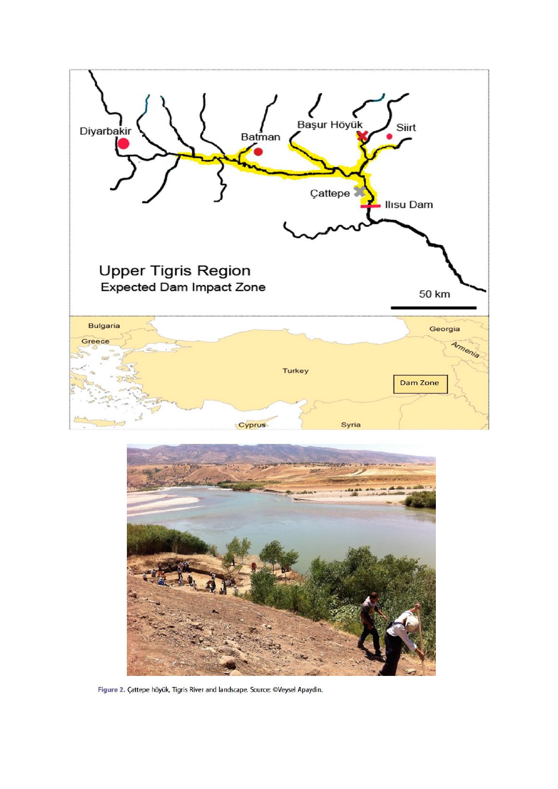



Figure 2. Çattepe höyük, Tigris River and landscape. Source: ©Veysel Apaydin.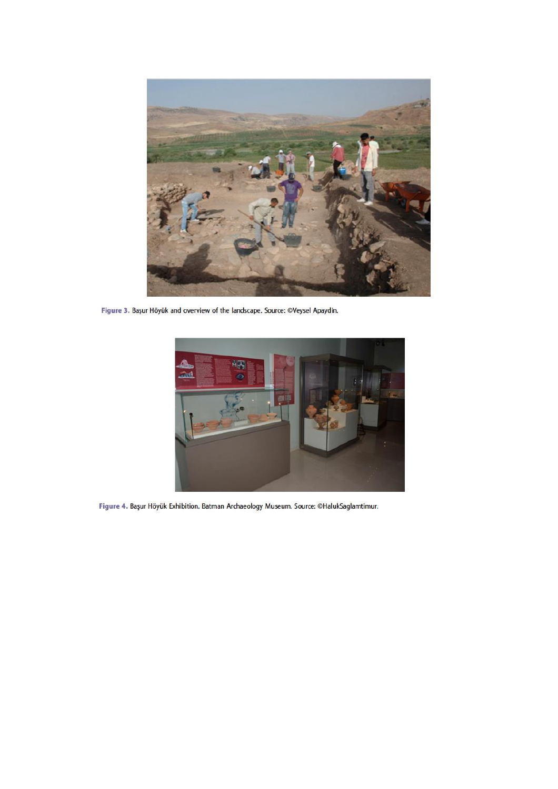

Figure 3. Başur Höyük and overview of the landscape. Source: ©Veysel Apaydin.



Figure 4. Başur Höyük Exhibition. Batman Archaeology Museum. Source: ©HalukSaglamtimur.